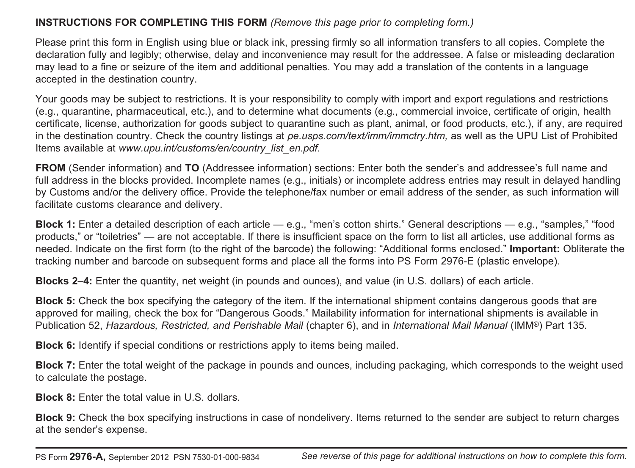# **INSTRUCTIONS FOR COMPLETING THIS FORM** *(Remove this page prior to completing form.)*

Please print this form in English using blue or black ink, pressing firmly so all information transfers to all copies. Complete the declaration fully and legibly; otherwise, delay and inconvenience may result for the addressee. A false or misleading declaration may lead to a fine or seizure of the item and additional penalties. You may add a translation of the contents in a language accepted in the destination country.

Your goods may be subject to restrictions. It is your responsibility to comply with import and export regulations and restrictions (e.g., quarantine, pharmaceutical, etc.), and to determine what documents (e.g., commercial invoice, certificate of origin, health certificate, license, authorization for goods subject to quarantine such as plant, animal, or food products, etc.), if any, are required in the destination country. Check the country listings at *pe.usps.com/text/imm/immctry.htm,* as well as the UPU List of Prohibited Items available at *www.upu.int/customs/en/country\_list\_en.pdf.*

**FROM** (Sender information) and **TO** (Addressee information) sections: Enter both the sender's and addressee's full name and full address in the blocks provided. Incomplete names (e.g., initials) or incomplete address entries may result in delayed handling by Customs and/or the delivery office. Provide the telephone/fax number or email address of the sender, as such information will facilitate customs clearance and delivery.

**Block 1:** Enter a detailed description of each article — e.g., "men's cotton shirts." General descriptions — e.g., "samples," "food products," or "toiletries" — are not acceptable. If there is insufficient space on the form to list all articles, use additional forms as needed. Indicate on the first form (to the right of the barcode) the following: "Additional forms enclosed." **Important:** Obliterate the tracking number and barcode on subsequent forms and place all the forms into PS Form 2976-E (plastic envelope).

**Blocks 2–4:** Enter the quantity, net weight (in pounds and ounces), and value (in U.S. dollars) of each article.

**Block 5:** Check the box specifying the category of the item. If the international shipment contains dangerous goods that are approved for mailing, check the box for "Dangerous Goods." Mailability information for international shipments is available in Publication 52, *Hazardous, Restricted, and Perishable Mail* (chapter 6), and in *International Mail Manual* (IMM®) Part 135.

**Block 6:** Identify if special conditions or restrictions apply to items being mailed.

**Block 7:** Enter the total weight of the package in pounds and ounces, including packaging, which corresponds to the weight used to calculate the postage.

**Block 8:** Enter the total value in U.S. dollars.

**Block 9:** Check the box specifying instructions in case of nondelivery. Items returned to the sender are subject to return charges at the sender's expense.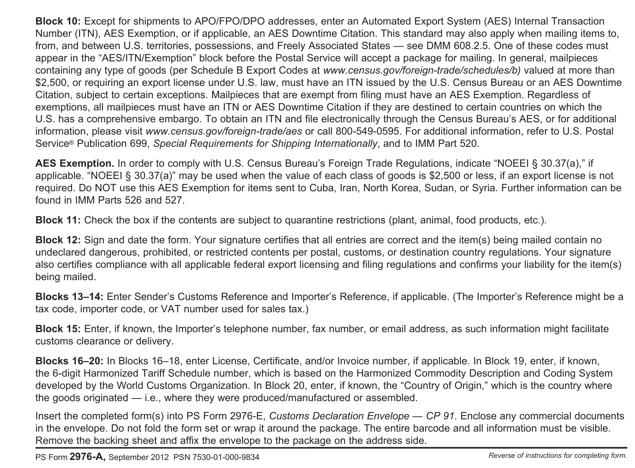**Block 10:** Except for shipments to APO/FPO/DPO addresses, enter an Automated Export System (AES) Internal Transaction Number (ITN), AES Exemption, or if applicable, an AES Downtime Citation. This standard may also apply when mailing items to, from, and between U.S. territories, possessions, and Freely Associated States — see DMM 608.2.5. One of these codes must appear in the "AES/ITN/Exemption" block before the Postal Service will accept a package for mailing. In general, mailpieces containing any type of goods (per Schedule B Export Codes at *www.census.gov/foreign-trade/schedules/b)* valued at more than \$2,500, or requiring an export license under U.S. law, must have an ITN issued by the U.S. Census Bureau or an AES Downtime Citation, subject to certain exceptions. Mailpieces that are exempt from filing must have an AES Exemption. Regardless of exemptions, all mailpieces must have an ITN or AES Downtime Citation if they are destined to certain countries on which the U.S. has a comprehensive embargo. To obtain an ITN and file electronically through the Census Bureau's AES, or for additional information, please visit *www.census.gov/foreign-trade/aes* or call 800-549-0595. For additional information, refer to U.S. Postal Service® Publication 699, *Special Requirements for Shipping Internationally*, and to IMM Part 520.

**AES Exemption.** In order to comply with U.S. Census Bureau's Foreign Trade Regulations, indicate "NOEEI § 30.37(a)," if applicable. "NOEEI § 30.37(a)" may be used when the value of each class of goods is \$2,500 or less, if an export license is not required. Do NOT use this AES Exemption for items sent to Cuba, Iran, North Korea, Sudan, or Syria. Further information can be found in IMM Parts 526 and 527.

**Block 11:** Check the box if the contents are subject to quarantine restrictions (plant, animal, food products, etc.).

**Block 12:** Sign and date the form. Your signature certifies that all entries are correct and the item(s) being mailed contain no undeclared dangerous, prohibited, or restricted contents per postal, customs, or destination country regulations. Your signature also certifies compliance with all applicable federal export licensing and filing regulations and confirms your liability for the item(s) being mailed.

**Blocks 13–14:** Enter Sender's Customs Reference and Importer's Reference, if applicable. (The Importer's Reference might be a tax code, importer code, or VAT number used for sales tax.)

**Block 15:** Enter, if known, the Importer's telephone number, fax number, or email address, as such information might facilitate customs clearance or delivery.

**Blocks 16–20:** In Blocks 16–18, enter License, Certificate, and/or Invoice number, if applicable. In Block 19, enter, if known, the 6-digit Harmonized Tariff Schedule number, which is based on the Harmonized Commodity Description and Coding System developed by the World Customs Organization. In Block 20, enter, if known, the "Country of Origin," which is the country where the goods originated — i.e., where they were produced/manufactured or assembled.

Insert the completed form(s) into PS Form 2976-E, *Customs Declaration Envelope — CP 91.* Enclose any commercial documents in the envelope. Do not fold the form set or wrap it around the package. The entire barcode and all information must be visible. Remove the backing sheet and affix the envelope to the package on the address side.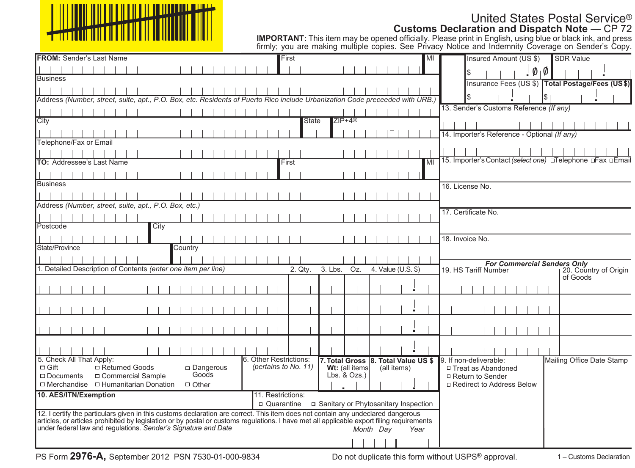

**IMPORTANT:** This item may be opened officially. Please print in English, using blue or black ink, and press firmly; you are making multiple copies. See Privacy Notice and Indemnity Coverage on Sender's Copy.

| <b>FROM: Sender's Last Name</b>                                                                                                                                                                             | First                                                                                                                         | <b>SDR Value</b><br>MI<br>Insured Amount (US \$)                                    |
|-------------------------------------------------------------------------------------------------------------------------------------------------------------------------------------------------------------|-------------------------------------------------------------------------------------------------------------------------------|-------------------------------------------------------------------------------------|
|                                                                                                                                                                                                             |                                                                                                                               | $\mathfrak{g}_1\mathfrak{g}_2$                                                      |
| <b>Business</b>                                                                                                                                                                                             |                                                                                                                               | Insurance Fees (US \$) Total Postage/Fees (US\$)                                    |
|                                                                                                                                                                                                             |                                                                                                                               |                                                                                     |
| Address (Number, street, suite, apt., P.O. Box, etc. Residents of Puerto Rico include Urbanization Code preceeded with URB.)                                                                                |                                                                                                                               | ا \$ا                                                                               |
|                                                                                                                                                                                                             |                                                                                                                               | 13. Sender's Customs Reference (If any)                                             |
| City                                                                                                                                                                                                        | $ZIP+4@$<br><b>State</b>                                                                                                      |                                                                                     |
|                                                                                                                                                                                                             |                                                                                                                               | 14. Importer's Reference - Optional (If any)                                        |
| Telephone/Fax or Email                                                                                                                                                                                      |                                                                                                                               |                                                                                     |
|                                                                                                                                                                                                             |                                                                                                                               |                                                                                     |
| <b>TO: Addressee's Last Name</b>                                                                                                                                                                            | First                                                                                                                         | 15. Importer's Contact (select one) DTelephone DFax DEmail<br>MI                    |
|                                                                                                                                                                                                             |                                                                                                                               |                                                                                     |
| <b>Business</b>                                                                                                                                                                                             |                                                                                                                               | 16. License No.                                                                     |
|                                                                                                                                                                                                             |                                                                                                                               |                                                                                     |
| Address (Number, street, suite, apt., P.O. Box, etc.)                                                                                                                                                       |                                                                                                                               |                                                                                     |
|                                                                                                                                                                                                             |                                                                                                                               | 17. Certificate No.                                                                 |
| Postcode<br>City                                                                                                                                                                                            |                                                                                                                               |                                                                                     |
|                                                                                                                                                                                                             |                                                                                                                               | 18. Invoice No.                                                                     |
| State/Province<br>Country                                                                                                                                                                                   |                                                                                                                               |                                                                                     |
|                                                                                                                                                                                                             |                                                                                                                               |                                                                                     |
| 1. Detailed Description of Contents (enter one item per line)                                                                                                                                               | 3. Lbs.<br>2. Qtv.<br>Oz.<br>4. Value (U.S. \$)                                                                               | <b>For Commercial Senders Only</b><br>19. HS Tariff Number<br>20. Country of Origin |
|                                                                                                                                                                                                             |                                                                                                                               | of Goods                                                                            |
|                                                                                                                                                                                                             |                                                                                                                               |                                                                                     |
|                                                                                                                                                                                                             |                                                                                                                               |                                                                                     |
|                                                                                                                                                                                                             |                                                                                                                               |                                                                                     |
|                                                                                                                                                                                                             |                                                                                                                               |                                                                                     |
|                                                                                                                                                                                                             |                                                                                                                               |                                                                                     |
|                                                                                                                                                                                                             |                                                                                                                               |                                                                                     |
|                                                                                                                                                                                                             |                                                                                                                               |                                                                                     |
| 5. Check All That Apply:<br>$\Box$ Gift<br>□ Returned Goods<br>$\Box$ Dangerous                                                                                                                             | <b>6. Other Restrictions:</b><br>7. Total Gross 8. Total Value US \$<br>(pertains to No. 11)<br>Wt: (all items<br>(all items) | Mailing Office Date Stamp<br>9. If non-deliverable:<br>□ Treat as Abandoned         |
| Goods<br>□ Commercial Sample<br>$\Box$ Documents                                                                                                                                                            | $Lbs.$ & $Ozs.$ )                                                                                                             | □ Return to Sender                                                                  |
| $\Box$ Merchandise $\Box$ Humanitarian Donation<br>$\Box$ Other                                                                                                                                             |                                                                                                                               | □ Redirect to Address Below                                                         |
| 10. AES/ITN/Exemption                                                                                                                                                                                       | 11. Restrictions:                                                                                                             |                                                                                     |
|                                                                                                                                                                                                             |                                                                                                                               |                                                                                     |
| 12. I certify the particulars given in this customs declaration are correct. This item does not contain any undeclared dangerous                                                                            |                                                                                                                               |                                                                                     |
| articles, or articles prohibited by legislation or by postal or customs regulations. I have met all applicable export filing requirements<br>under federal law and regulations. Sender's Signature and Date | Month Dav<br>Year                                                                                                             |                                                                                     |
|                                                                                                                                                                                                             |                                                                                                                               |                                                                                     |
|                                                                                                                                                                                                             |                                                                                                                               |                                                                                     |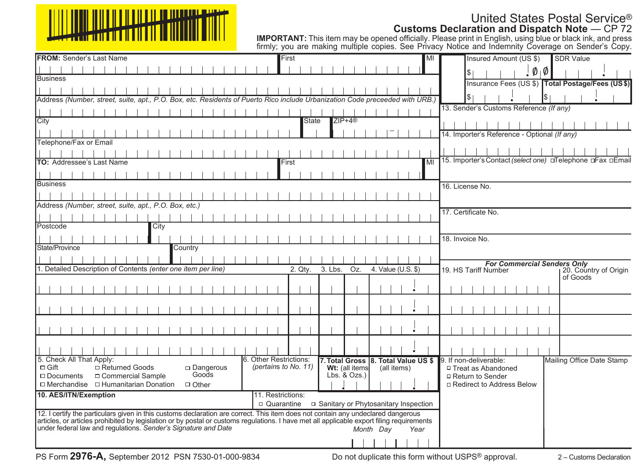

**IMPORTANT:** This item may be opened officially. Please print in English, using blue or black ink, and press firmly; you are making multiple copies. See Privacy Notice and Indemnity Coverage on Sender's Copy.

| <b>FROM: Sender's Last Name</b>                                                                                                                                                                             | First                                                 |                                                                      | <b>SDR Value</b><br>Insured Amount (US \$)<br>MI                                    |
|-------------------------------------------------------------------------------------------------------------------------------------------------------------------------------------------------------------|-------------------------------------------------------|----------------------------------------------------------------------|-------------------------------------------------------------------------------------|
|                                                                                                                                                                                                             |                                                       |                                                                      | $\phi_{\parallel} \phi$<br>$\frac{1}{2}$                                            |
| <b>Business</b>                                                                                                                                                                                             |                                                       |                                                                      | Insurance Fees (US \$) Total Postage/Fees (US\$)                                    |
|                                                                                                                                                                                                             |                                                       |                                                                      |                                                                                     |
| Address (Number, street, suite, apt., P.O. Box, etc. Residents of Puerto Rico include Urbanization Code preceeded with URB.)                                                                                |                                                       |                                                                      | \$∣                                                                                 |
|                                                                                                                                                                                                             |                                                       |                                                                      | 13. Sender's Customs Reference (If any)                                             |
| City                                                                                                                                                                                                        | <b>State</b>                                          | $ZIP+4@$                                                             |                                                                                     |
|                                                                                                                                                                                                             |                                                       |                                                                      | 14. Importer's Reference - Optional (If any)                                        |
| Telephone/Fax or Email                                                                                                                                                                                      |                                                       |                                                                      |                                                                                     |
|                                                                                                                                                                                                             |                                                       |                                                                      |                                                                                     |
| TO: Addressee's Last Name                                                                                                                                                                                   | First                                                 | MI                                                                   | 15. Importer's Contact (select one) DTelephone DFax DEmail                          |
|                                                                                                                                                                                                             |                                                       |                                                                      |                                                                                     |
| <b>Business</b>                                                                                                                                                                                             |                                                       |                                                                      | 16. License No.                                                                     |
|                                                                                                                                                                                                             |                                                       |                                                                      |                                                                                     |
| Address (Number, street, suite, apt., P.O. Box, etc.)                                                                                                                                                       |                                                       |                                                                      |                                                                                     |
|                                                                                                                                                                                                             |                                                       |                                                                      | 17. Certificate No.                                                                 |
| Postcode<br>City                                                                                                                                                                                            |                                                       |                                                                      |                                                                                     |
|                                                                                                                                                                                                             |                                                       |                                                                      | 18. Invoice No.                                                                     |
| State/Province<br>Country                                                                                                                                                                                   |                                                       |                                                                      |                                                                                     |
|                                                                                                                                                                                                             |                                                       |                                                                      |                                                                                     |
| 1. Detailed Description of Contents (enter one item per line)                                                                                                                                               | 2. Qtv.                                               | 3. Lbs.<br>4. Value (U.S. \$)<br>Oz.                                 | <b>For Commercial Senders Only</b><br>19. HS Tariff Number<br>20. Country of Origin |
|                                                                                                                                                                                                             |                                                       |                                                                      | of Goods                                                                            |
|                                                                                                                                                                                                             |                                                       |                                                                      |                                                                                     |
|                                                                                                                                                                                                             |                                                       |                                                                      |                                                                                     |
|                                                                                                                                                                                                             |                                                       |                                                                      |                                                                                     |
|                                                                                                                                                                                                             |                                                       |                                                                      |                                                                                     |
|                                                                                                                                                                                                             |                                                       |                                                                      |                                                                                     |
|                                                                                                                                                                                                             |                                                       |                                                                      |                                                                                     |
|                                                                                                                                                                                                             |                                                       |                                                                      |                                                                                     |
| 5. Check All That Apply:<br>$\Box$ Gift<br>□ Returned Goods<br>$\square$ Dangerous                                                                                                                          | <b>6. Other Restrictions:</b><br>(pertains to No. 11) | 7. Total Gross 8. Total Value US \$<br>Wt: (all items<br>(all items) | 9. If non-deliverable:<br>Mailing Office Date Stamp<br>□ Treat as Abandoned         |
| Goods<br>□ Commercial Sample<br>$\Box$ Documents                                                                                                                                                            |                                                       | Lbs. $& Ozs.$ )                                                      | □ Return to Sender                                                                  |
| $\Box$ Merchandise $\Box$ Humanitarian Donation<br>$\Box$ Other                                                                                                                                             |                                                       |                                                                      | □ Redirect to Address Below                                                         |
| 10. AES/ITN/Exemption                                                                                                                                                                                       | 11. Restrictions:                                     |                                                                      |                                                                                     |
|                                                                                                                                                                                                             | $\Box$ Quarantine                                     | □ Sanitary or Phytosanitary Inspection                               |                                                                                     |
| 12. I certify the particulars given in this customs declaration are correct. This item does not contain any undeclared dangerous                                                                            |                                                       |                                                                      |                                                                                     |
| articles, or articles prohibited by legislation or by postal or customs regulations. I have met all applicable export filing requirements<br>under federal law and regulations. Sender's Signature and Date |                                                       | Month Dav<br>Year                                                    |                                                                                     |
|                                                                                                                                                                                                             |                                                       |                                                                      |                                                                                     |
|                                                                                                                                                                                                             |                                                       |                                                                      |                                                                                     |

Do not duplicate this form without USPS® approval.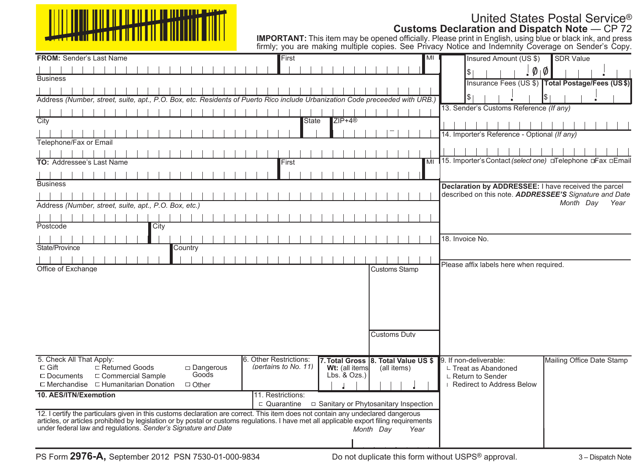## United States Postal Service® **Customs Declaration and Dispatch Note** — CP 72

|                                                                                                                                                                                                                                                                               |                                                                                 | <b>IMPORTANT:</b> This item may be opened officially. Please print in English, using blue or black ink, and press<br>firmly; you are making multiple copies. See Privacy Notice and Indemnity Coverage on Sender's Copy. |
|-------------------------------------------------------------------------------------------------------------------------------------------------------------------------------------------------------------------------------------------------------------------------------|---------------------------------------------------------------------------------|--------------------------------------------------------------------------------------------------------------------------------------------------------------------------------------------------------------------------|
| <b>FROM:</b> Sender's Last Name                                                                                                                                                                                                                                               | First<br>MI                                                                     | Insured Amount (US \$)<br><b>SDR Value</b>                                                                                                                                                                               |
|                                                                                                                                                                                                                                                                               |                                                                                 | $\emptyset$<br>l\$                                                                                                                                                                                                       |
| <b>Business</b>                                                                                                                                                                                                                                                               |                                                                                 | Insurance Fees (US \$) Total Postage/Fees (US \$)                                                                                                                                                                        |
|                                                                                                                                                                                                                                                                               |                                                                                 |                                                                                                                                                                                                                          |
| Address (Number, street, suite, apt., P.O. Box, etc. Residents of Puerto Rico include Urbanization Code preceeded with URB.                                                                                                                                                   |                                                                                 |                                                                                                                                                                                                                          |
|                                                                                                                                                                                                                                                                               |                                                                                 | 13. Sender's Customs Reference (If any)                                                                                                                                                                                  |
| City                                                                                                                                                                                                                                                                          | $ZIP+4@$<br><b>State</b>                                                        |                                                                                                                                                                                                                          |
|                                                                                                                                                                                                                                                                               |                                                                                 | 14. Importer's Reference - Optional (If any)                                                                                                                                                                             |
| Telephone/Fax or Email                                                                                                                                                                                                                                                        |                                                                                 |                                                                                                                                                                                                                          |
|                                                                                                                                                                                                                                                                               |                                                                                 |                                                                                                                                                                                                                          |
| <b>TO: Addressee's Last Name</b>                                                                                                                                                                                                                                              | First                                                                           | MI 15. Importer's Contact (select one) OTelephone OFax OEmail                                                                                                                                                            |
|                                                                                                                                                                                                                                                                               |                                                                                 |                                                                                                                                                                                                                          |
| <b>Business</b>                                                                                                                                                                                                                                                               |                                                                                 | Declaration by ADDRESSEE: I have received the parcel                                                                                                                                                                     |
|                                                                                                                                                                                                                                                                               |                                                                                 | described on this note. ADDRESSEE'S Signature and Date                                                                                                                                                                   |
| Address (Number, street, suite, apt., P.O. Box, etc.)                                                                                                                                                                                                                         |                                                                                 | Month Dav<br>Year                                                                                                                                                                                                        |
|                                                                                                                                                                                                                                                                               |                                                                                 |                                                                                                                                                                                                                          |
| Postcode<br>City                                                                                                                                                                                                                                                              |                                                                                 |                                                                                                                                                                                                                          |
|                                                                                                                                                                                                                                                                               |                                                                                 | 18. Invoice No.                                                                                                                                                                                                          |
| State/Province<br>Country                                                                                                                                                                                                                                                     |                                                                                 |                                                                                                                                                                                                                          |
|                                                                                                                                                                                                                                                                               |                                                                                 |                                                                                                                                                                                                                          |
| Office of Exchange                                                                                                                                                                                                                                                            | <b>Customs Stamp</b>                                                            | Please affix labels here when required.                                                                                                                                                                                  |
|                                                                                                                                                                                                                                                                               |                                                                                 |                                                                                                                                                                                                                          |
|                                                                                                                                                                                                                                                                               |                                                                                 |                                                                                                                                                                                                                          |
|                                                                                                                                                                                                                                                                               |                                                                                 |                                                                                                                                                                                                                          |
|                                                                                                                                                                                                                                                                               |                                                                                 |                                                                                                                                                                                                                          |
|                                                                                                                                                                                                                                                                               |                                                                                 |                                                                                                                                                                                                                          |
|                                                                                                                                                                                                                                                                               | <b>Customs Duty</b>                                                             |                                                                                                                                                                                                                          |
|                                                                                                                                                                                                                                                                               |                                                                                 |                                                                                                                                                                                                                          |
|                                                                                                                                                                                                                                                                               |                                                                                 |                                                                                                                                                                                                                          |
| 5. Check All That Apply:<br>$\sqsubset$ Returned Goods<br>$\sqsubset$ Gift<br>$\sqsubset$ Dangerous                                                                                                                                                                           | 6. Other Restrictions:<br>(pertains to No. 11)<br>Wt: (all items<br>(all items) | 9. If non-deliverable:<br>Mailing Office Date Stamp<br>$\mathrel{\sqsubseteq}$ Treat as Abandoned                                                                                                                        |
| Goods<br>$\sqsubset$ Commercial Sample<br>$\Box$ Documents                                                                                                                                                                                                                    | $Lbs.$ & $Ozs.$ )                                                               | $L$ Return to Sender                                                                                                                                                                                                     |
| $\Box$ Merchandise $\Box$ Humanitarian Donation<br>$\sqsubset$ Other                                                                                                                                                                                                          |                                                                                 | <b>Redirect to Address Below</b>                                                                                                                                                                                         |
| 10. AES/ITN/Exemption                                                                                                                                                                                                                                                         | 11. Restrictions:                                                               |                                                                                                                                                                                                                          |
|                                                                                                                                                                                                                                                                               | $\Box$ Quarantine<br>□ Sanitary or Phytosanitary Inspection                     |                                                                                                                                                                                                                          |
| 12. I certify the particulars given in this customs declaration are correct. This item does not contain any undeclared dangerous<br>articles, or articles prohibited by legislation or by postal or customs regulations. I have met all applicable export filing requirements |                                                                                 |                                                                                                                                                                                                                          |
| under federal law and regulations. Sender's Signature and Date                                                                                                                                                                                                                | Month Day<br>Year                                                               |                                                                                                                                                                                                                          |
|                                                                                                                                                                                                                                                                               |                                                                                 |                                                                                                                                                                                                                          |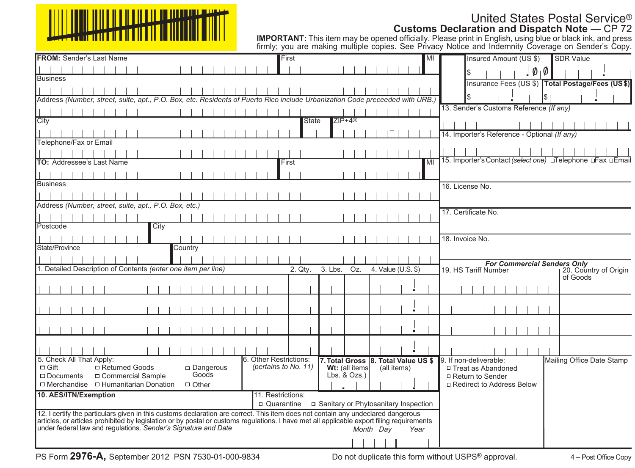

**IMPORTANT:** This item may be opened officially. Please print in English, using blue or black ink, and press firmly; you are making multiple copies. See Privacy Notice and Indemnity Coverage on Sender's Copy.

| <b>FROM: Sender's Last Name</b>                                                                                                                                                                             | First                                                 |                                                                      | <b>SDR Value</b><br>Insured Amount (US \$)<br>MI                                    |
|-------------------------------------------------------------------------------------------------------------------------------------------------------------------------------------------------------------|-------------------------------------------------------|----------------------------------------------------------------------|-------------------------------------------------------------------------------------|
|                                                                                                                                                                                                             |                                                       |                                                                      | $\phi_{\parallel} \phi$<br>$\frac{1}{2}$                                            |
| <b>Business</b>                                                                                                                                                                                             |                                                       |                                                                      | Insurance Fees (US \$) Total Postage/Fees (US\$)                                    |
|                                                                                                                                                                                                             |                                                       |                                                                      |                                                                                     |
| Address (Number, street, suite, apt., P.O. Box, etc. Residents of Puerto Rico include Urbanization Code preceeded with URB.)                                                                                |                                                       |                                                                      | \$∣                                                                                 |
|                                                                                                                                                                                                             |                                                       |                                                                      | 13. Sender's Customs Reference (If any)                                             |
| City                                                                                                                                                                                                        | <b>State</b>                                          | $ZIP+4@$                                                             |                                                                                     |
|                                                                                                                                                                                                             |                                                       |                                                                      | 14. Importer's Reference - Optional (If any)                                        |
| Telephone/Fax or Email                                                                                                                                                                                      |                                                       |                                                                      |                                                                                     |
|                                                                                                                                                                                                             |                                                       |                                                                      |                                                                                     |
| TO: Addressee's Last Name                                                                                                                                                                                   | First                                                 | MI                                                                   | 15. Importer's Contact (select one) DTelephone DFax DEmail                          |
|                                                                                                                                                                                                             |                                                       |                                                                      |                                                                                     |
| <b>Business</b>                                                                                                                                                                                             |                                                       |                                                                      | 16. License No.                                                                     |
|                                                                                                                                                                                                             |                                                       |                                                                      |                                                                                     |
| Address (Number, street, suite, apt., P.O. Box, etc.)                                                                                                                                                       |                                                       |                                                                      |                                                                                     |
|                                                                                                                                                                                                             |                                                       |                                                                      | 17. Certificate No.                                                                 |
| Postcode<br>City                                                                                                                                                                                            |                                                       |                                                                      |                                                                                     |
|                                                                                                                                                                                                             |                                                       |                                                                      | 18. Invoice No.                                                                     |
| State/Province<br>Country                                                                                                                                                                                   |                                                       |                                                                      |                                                                                     |
|                                                                                                                                                                                                             |                                                       |                                                                      |                                                                                     |
| 1. Detailed Description of Contents (enter one item per line)                                                                                                                                               | 2. Qtv.                                               | 3. Lbs.<br>4. Value (U.S. \$)<br>Oz.                                 | <b>For Commercial Senders Only</b><br>19. HS Tariff Number<br>20. Country of Origin |
|                                                                                                                                                                                                             |                                                       |                                                                      | of Goods                                                                            |
|                                                                                                                                                                                                             |                                                       |                                                                      |                                                                                     |
|                                                                                                                                                                                                             |                                                       |                                                                      |                                                                                     |
|                                                                                                                                                                                                             |                                                       |                                                                      |                                                                                     |
|                                                                                                                                                                                                             |                                                       |                                                                      |                                                                                     |
|                                                                                                                                                                                                             |                                                       |                                                                      |                                                                                     |
|                                                                                                                                                                                                             |                                                       |                                                                      |                                                                                     |
|                                                                                                                                                                                                             |                                                       |                                                                      |                                                                                     |
| 5. Check All That Apply:<br>$\Box$ Gift<br>□ Returned Goods<br>$\square$ Dangerous                                                                                                                          | <b>6. Other Restrictions:</b><br>(pertains to No. 11) | 7. Total Gross 8. Total Value US \$<br>Wt: (all items<br>(all items) | 9. If non-deliverable:<br>Mailing Office Date Stamp<br>□ Treat as Abandoned         |
| Goods<br>□ Commercial Sample<br>$\Box$ Documents                                                                                                                                                            |                                                       | Lbs. $& Ozs.$ )                                                      | □ Return to Sender                                                                  |
| $\Box$ Merchandise $\Box$ Humanitarian Donation<br>$\Box$ Other                                                                                                                                             |                                                       |                                                                      | □ Redirect to Address Below                                                         |
| 10. AES/ITN/Exemption                                                                                                                                                                                       | 11. Restrictions:                                     |                                                                      |                                                                                     |
|                                                                                                                                                                                                             | $\Box$ Quarantine                                     | □ Sanitary or Phytosanitary Inspection                               |                                                                                     |
| 12. I certify the particulars given in this customs declaration are correct. This item does not contain any undeclared dangerous                                                                            |                                                       |                                                                      |                                                                                     |
| articles, or articles prohibited by legislation or by postal or customs regulations. I have met all applicable export filing requirements<br>under federal law and regulations. Sender's Signature and Date |                                                       | Month Dav<br>Year                                                    |                                                                                     |
|                                                                                                                                                                                                             |                                                       |                                                                      |                                                                                     |
|                                                                                                                                                                                                             |                                                       |                                                                      |                                                                                     |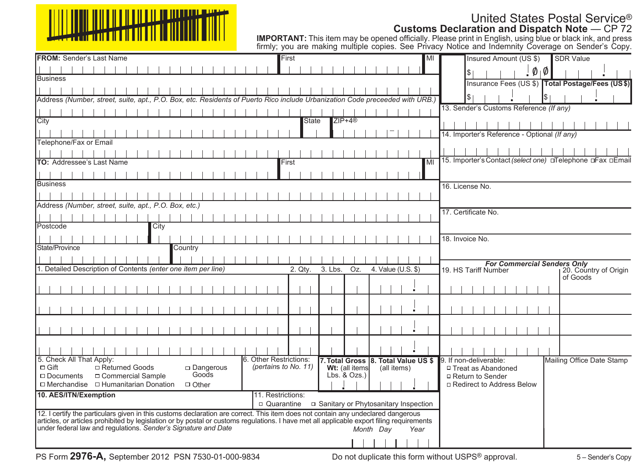

**IMPORTANT:** This item may be opened officially. Please print in English, using blue or black ink, and press firmly; you are making multiple copies. See Privacy Notice and Indemnity Coverage on Sender's Copy.

| <b>FROM: Sender's Last Name</b>                                                                                                                                                                            | First                                          |                                                                      | <b>SDR Value</b><br>Insured Amount (US \$)<br>MI                                     |
|------------------------------------------------------------------------------------------------------------------------------------------------------------------------------------------------------------|------------------------------------------------|----------------------------------------------------------------------|--------------------------------------------------------------------------------------|
|                                                                                                                                                                                                            |                                                |                                                                      | $\phi_{\parallel} \phi$<br>$\frac{1}{2}$                                             |
| <b>Business</b>                                                                                                                                                                                            |                                                |                                                                      | Insurance Fees (US \$) Total Postage/Fees (US\$)                                     |
|                                                                                                                                                                                                            |                                                |                                                                      |                                                                                      |
| Address (Number, street, suite, apt., P.O. Box, etc. Residents of Puerto Rico include Urbanization Code preceeded with URB.)                                                                               |                                                |                                                                      | \$∣                                                                                  |
|                                                                                                                                                                                                            |                                                |                                                                      | 13. Sender's Customs Reference (If any)                                              |
| City                                                                                                                                                                                                       | <b>State</b>                                   | $ZIP+4@$                                                             |                                                                                      |
|                                                                                                                                                                                                            |                                                |                                                                      | 14. Importer's Reference - Optional (If any)                                         |
| Telephone/Fax or Email                                                                                                                                                                                     |                                                |                                                                      |                                                                                      |
|                                                                                                                                                                                                            |                                                |                                                                      |                                                                                      |
| TO: Addressee's Last Name                                                                                                                                                                                  | First                                          |                                                                      | 15. Importer's Contact (select one) DTelephone DFax DEmail<br>MI                     |
|                                                                                                                                                                                                            |                                                |                                                                      |                                                                                      |
| <b>Business</b>                                                                                                                                                                                            |                                                |                                                                      | 16. License No.                                                                      |
|                                                                                                                                                                                                            |                                                |                                                                      |                                                                                      |
| Address (Number, street, suite, apt., P.O. Box, etc.)                                                                                                                                                      |                                                |                                                                      |                                                                                      |
|                                                                                                                                                                                                            |                                                |                                                                      | 17. Certificate No.                                                                  |
| Postcode<br>City                                                                                                                                                                                           |                                                |                                                                      |                                                                                      |
|                                                                                                                                                                                                            |                                                |                                                                      | 18. Invoice No.                                                                      |
| State/Province<br>Country                                                                                                                                                                                  |                                                |                                                                      |                                                                                      |
|                                                                                                                                                                                                            |                                                |                                                                      |                                                                                      |
| 1. Detailed Description of Contents (enter one item per line)                                                                                                                                              | 2. Qty.                                        | 4. Value (U.S. \$)<br>3. Lbs.<br>Oz.                                 | For Commercial Senders Only<br>Number 120. Country of Origin<br>19. HS Tariff Number |
|                                                                                                                                                                                                            |                                                |                                                                      | of Goods                                                                             |
|                                                                                                                                                                                                            |                                                |                                                                      |                                                                                      |
|                                                                                                                                                                                                            |                                                |                                                                      |                                                                                      |
|                                                                                                                                                                                                            |                                                |                                                                      |                                                                                      |
|                                                                                                                                                                                                            |                                                |                                                                      |                                                                                      |
|                                                                                                                                                                                                            |                                                |                                                                      |                                                                                      |
|                                                                                                                                                                                                            |                                                |                                                                      |                                                                                      |
|                                                                                                                                                                                                            |                                                |                                                                      |                                                                                      |
| 5. Check All That Apply:<br>□ Returned Goods<br>$\Box$ Gift<br>$\square$ Dangerous                                                                                                                         | 6. Other Restrictions:<br>(pertains to No. 11) | 7. Total Gross 8. Total Value US \$<br>Wt: (all items<br>(all items) | 9. If non-deliverable:<br>Mailing Office Date Stamp<br>□ Treat as Abandoned          |
| Goods<br>□ Commercial Sample<br>$\Box$ Documents                                                                                                                                                           |                                                | Lbs. $& Ozs.$ )                                                      | □ Return to Sender                                                                   |
| $\Box$ Merchandise $\Box$ Humanitarian Donation<br>$\Box$ Other                                                                                                                                            |                                                |                                                                      | □ Redirect to Address Below                                                          |
| 10. AES/ITN/Exemption                                                                                                                                                                                      | 11. Restrictions:                              |                                                                      |                                                                                      |
|                                                                                                                                                                                                            | □ Quarantine                                   | □ Sanitary or Phytosanitary Inspection                               |                                                                                      |
| 12. I certify the particulars given in this customs declaration are correct. This item does not contain any undeclared dangerous                                                                           |                                                |                                                                      |                                                                                      |
| actives, or articles prohibited by legislation or by postal or customs regulations. I have met all applicable export filing requirements<br>under federal law and regulations. Sender's Signature and Date |                                                | Month Dav<br>Year                                                    |                                                                                      |
|                                                                                                                                                                                                            |                                                |                                                                      |                                                                                      |
|                                                                                                                                                                                                            |                                                |                                                                      |                                                                                      |